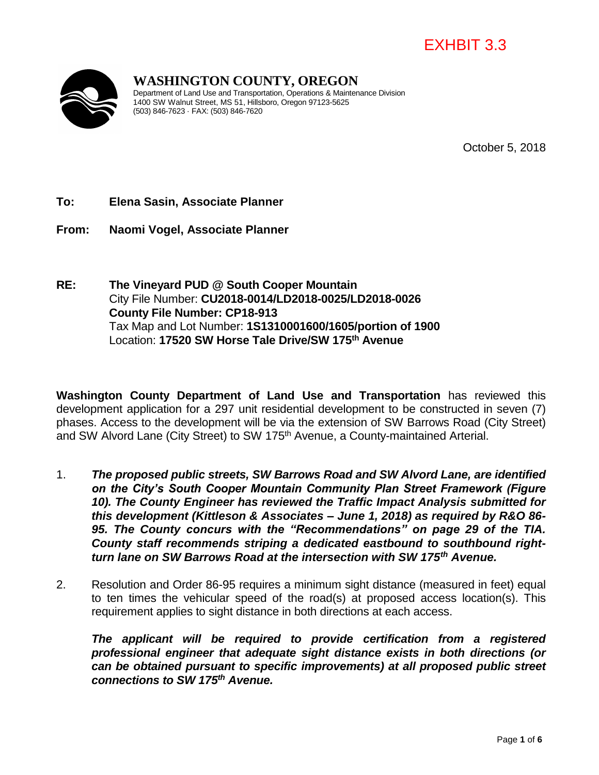# EXHBIT 3.3



### **WASHINGTON COUNTY, OREGON**

Department of Land Use and Transportation, Operations & Maintenance Division 1400 SW Walnut Street, MS 51, Hillsboro, Oregon 97123-5625 (503) 846-7623 · FAX: (503) 846-7620

October 5, 2018

#### **To: Elena Sasin, Associate Planner**

**From: Naomi Vogel, Associate Planner**

**RE: The Vineyard PUD @ South Cooper Mountain**  City File Number: **CU2018-0014/LD2018-0025/LD2018-0026 County File Number: CP18-913** Tax Map and Lot Number: **1S1310001600/1605/portion of 1900** Location: **17520 SW Horse Tale Drive/SW 175th Avenue**

**Washington County Department of Land Use and Transportation** has reviewed this development application for a 297 unit residential development to be constructed in seven (7) phases. Access to the development will be via the extension of SW Barrows Road (City Street) and SW Alvord Lane (City Street) to SW 175<sup>th</sup> Avenue, a County-maintained Arterial.

- 1. *The proposed public streets, SW Barrows Road and SW Alvord Lane, are identified on the City's South Cooper Mountain Community Plan Street Framework (Figure 10). The County Engineer has reviewed the Traffic Impact Analysis submitted for this development (Kittleson & Associates – June 1, 2018) as required by R&O 86- 95. The County concurs with the "Recommendations" on page 29 of the TIA. County staff recommends striping a dedicated eastbound to southbound rightturn lane on SW Barrows Road at the intersection with SW 175th Avenue.*
- 2. Resolution and Order 86-95 requires a minimum sight distance (measured in feet) equal to ten times the vehicular speed of the road(s) at proposed access location(s). This requirement applies to sight distance in both directions at each access.

*The applicant will be required to provide certification from a registered professional engineer that adequate sight distance exists in both directions (or can be obtained pursuant to specific improvements) at all proposed public street connections to SW 175th Avenue.*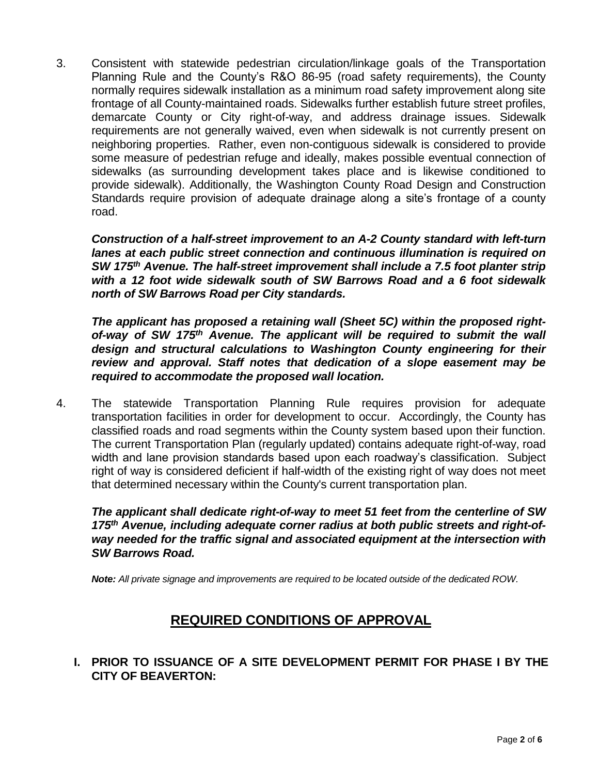3. Consistent with statewide pedestrian circulation/linkage goals of the Transportation Planning Rule and the County's R&O 86-95 (road safety requirements), the County normally requires sidewalk installation as a minimum road safety improvement along site frontage of all County-maintained roads. Sidewalks further establish future street profiles, demarcate County or City right-of-way, and address drainage issues. Sidewalk requirements are not generally waived, even when sidewalk is not currently present on neighboring properties. Rather, even non-contiguous sidewalk is considered to provide some measure of pedestrian refuge and ideally, makes possible eventual connection of sidewalks (as surrounding development takes place and is likewise conditioned to provide sidewalk). Additionally, the Washington County Road Design and Construction Standards require provision of adequate drainage along a site's frontage of a county road.

*Construction of a half-street improvement to an A-2 County standard with left-turn lanes at each public street connection and continuous illumination is required on SW 175th Avenue. The half-street improvement shall include a 7.5 foot planter strip with a 12 foot wide sidewalk south of SW Barrows Road and a 6 foot sidewalk north of SW Barrows Road per City standards.*

*The applicant has proposed a retaining wall (Sheet 5C) within the proposed rightof-way of SW 175th Avenue. The applicant will be required to submit the wall design and structural calculations to Washington County engineering for their review and approval. Staff notes that dedication of a slope easement may be required to accommodate the proposed wall location.* 

4. The statewide Transportation Planning Rule requires provision for adequate transportation facilities in order for development to occur. Accordingly, the County has classified roads and road segments within the County system based upon their function. The current Transportation Plan (regularly updated) contains adequate right-of-way, road width and lane provision standards based upon each roadway's classification. Subject right of way is considered deficient if half-width of the existing right of way does not meet that determined necessary within the County's current transportation plan.

*The applicant shall dedicate right-of-way to meet 51 feet from the centerline of SW 175th Avenue, including adequate corner radius at both public streets and right-ofway needed for the traffic signal and associated equipment at the intersection with SW Barrows Road.* 

*Note: All private signage and improvements are required to be located outside of the dedicated ROW.*

## **REQUIRED CONDITIONS OF APPROVAL**

#### **I. PRIOR TO ISSUANCE OF A SITE DEVELOPMENT PERMIT FOR PHASE I BY THE CITY OF BEAVERTON:**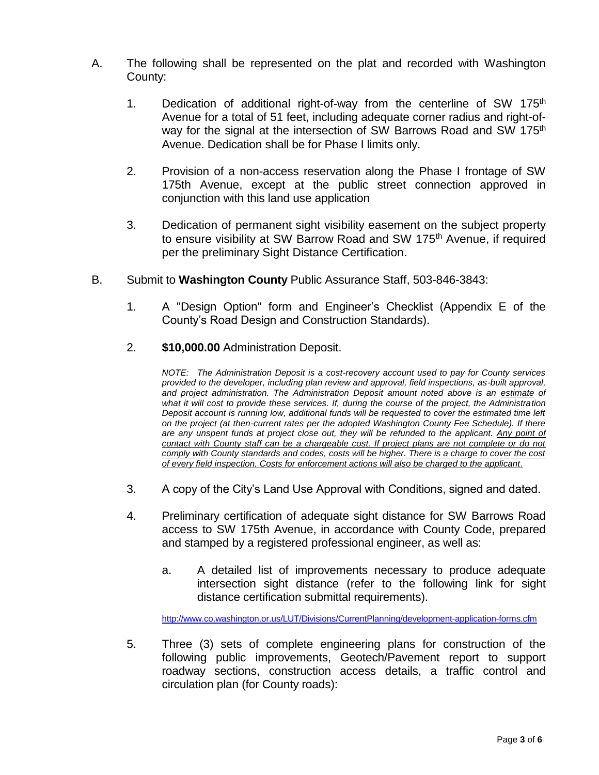- A. The following shall be represented on the plat and recorded with Washington County:
	- 1. Dedication of additional right-of-way from the centerline of SW 175<sup>th</sup> Avenue for a total of 51 feet, including adequate corner radius and right-ofway for the signal at the intersection of SW Barrows Road and SW 175<sup>th</sup> Avenue. Dedication shall be for Phase I limits only.
	- 2. Provision of a non-access reservation along the Phase I frontage of SW 175th Avenue, except at the public street connection approved in conjunction with this land use application
	- 3. Dedication of permanent sight visibility easement on the subject property to ensure visibility at SW Barrow Road and SW 175<sup>th</sup> Avenue, if required per the preliminary Sight Distance Certification.
- B. Submit to **Washington County** Public Assurance Staff, 503-846-3843:
	- 1. A "Design Option" form and Engineer's Checklist (Appendix E of the County's Road Design and Construction Standards).
	- 2. **\$10,000.00** Administration Deposit.

*NOTE: The Administration Deposit is a cost-recovery account used to pay for County services provided to the developer, including plan review and approval, field inspections, as-built approval, and project administration. The Administration Deposit amount noted above is an estimate of what it will cost to provide these services. If, during the course of the project, the Administration Deposit account is running low, additional funds will be requested to cover the estimated time left on the project (at then-current rates per the adopted Washington County Fee Schedule). If there*  are any unspent funds at project close out, they will be refunded to the applicant. Any point of *contact with County staff can be a chargeable cost. If project plans are not complete or do not comply with County standards and codes, costs will be higher. There is a charge to cover the cost of every field inspection. Costs for enforcement actions will also be charged to the applicant.*

- 3. A copy of the City's Land Use Approval with Conditions, signed and dated.
- 4. Preliminary certification of adequate sight distance for SW Barrows Road access to SW 175th Avenue, in accordance with County Code, prepared and stamped by a registered professional engineer, as well as:
	- a. A detailed list of improvements necessary to produce adequate intersection sight distance (refer to the following link for sight distance certification submittal requirements).

<http://www.co.washington.or.us/LUT/Divisions/CurrentPlanning/development-application-forms.cfm>

5. Three (3) sets of complete engineering plans for construction of the following public improvements, Geotech/Pavement report to support roadway sections, construction access details, a traffic control and circulation plan (for County roads):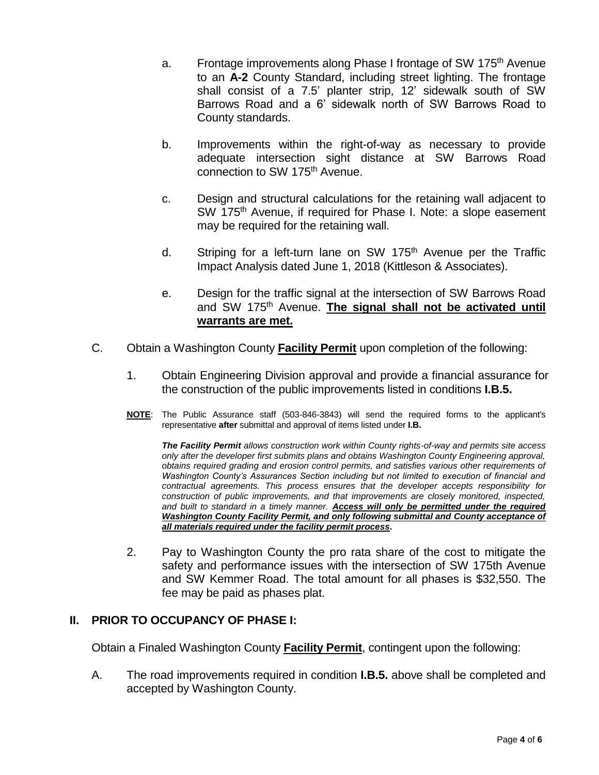- a. Frontage improvements along Phase I frontage of SW 175<sup>th</sup> Avenue to an **A-2** County Standard, including street lighting. The frontage shall consist of a 7.5' planter strip, 12' sidewalk south of SW Barrows Road and a 6' sidewalk north of SW Barrows Road to County standards.
- b. Improvements within the right-of-way as necessary to provide adequate intersection sight distance at SW Barrows Road connection to SW 175<sup>th</sup> Avenue.
- c. Design and structural calculations for the retaining wall adjacent to SW 175<sup>th</sup> Avenue, if required for Phase I. Note: a slope easement may be required for the retaining wall.
- d. Striping for a left-turn lane on SW 175<sup>th</sup> Avenue per the Traffic Impact Analysis dated June 1, 2018 (Kittleson & Associates).
- e. Design for the traffic signal at the intersection of SW Barrows Road and SW 175<sup>th</sup> Avenue. **The signal shall not be activated until warrants are met.**
- C. Obtain a Washington County **Facility Permit** upon completion of the following:
	- 1. Obtain Engineering Division approval and provide a financial assurance for the construction of the public improvements listed in conditions **I.B.5.**
	- **NOTE**: The Public Assurance staff (503-846-3843) will send the required forms to the applicant's representative **after** submittal and approval of items listed under **I.B.**

*The Facility Permit allows construction work within County rights-of-way and permits site access only after the developer first submits plans and obtains Washington County Engineering approval, obtains required grading and erosion control permits, and satisfies various other requirements of Washington County's Assurances Section including but not limited to execution of financial and contractual agreements. This process ensures that the developer accepts responsibility for construction of public improvements, and that improvements are closely monitored, inspected, and built to standard in a timely manner. Access will only be permitted under the required Washington County Facility Permit, and only following submittal and County acceptance of all materials required under the facility permit process.* 

2. Pay to Washington County the pro rata share of the cost to mitigate the safety and performance issues with the intersection of SW 175th Avenue and SW Kemmer Road. The total amount for all phases is \$32,550. The fee may be paid as phases plat.

#### **II. PRIOR TO OCCUPANCY OF PHASE I:**

Obtain a Finaled Washington County **Facility Permit**, contingent upon the following:

A. The road improvements required in condition **I.B.5.** above shall be completed and accepted by Washington County.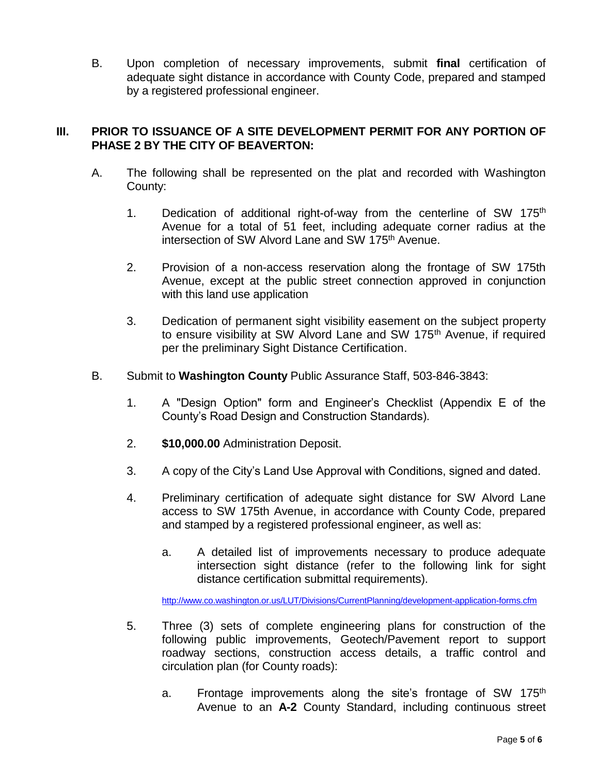B. Upon completion of necessary improvements, submit **final** certification of adequate sight distance in accordance with County Code, prepared and stamped by a registered professional engineer.

#### **III. PRIOR TO ISSUANCE OF A SITE DEVELOPMENT PERMIT FOR ANY PORTION OF PHASE 2 BY THE CITY OF BEAVERTON:**

- A. The following shall be represented on the plat and recorded with Washington County:
	- 1. Dedication of additional right-of-way from the centerline of SW 175<sup>th</sup> Avenue for a total of 51 feet, including adequate corner radius at the intersection of SW Alvord Lane and SW 175<sup>th</sup> Avenue.
	- 2. Provision of a non-access reservation along the frontage of SW 175th Avenue, except at the public street connection approved in conjunction with this land use application
	- 3. Dedication of permanent sight visibility easement on the subject property to ensure visibility at SW Alvord Lane and SW 175<sup>th</sup> Avenue, if required per the preliminary Sight Distance Certification.
- B. Submit to **Washington County** Public Assurance Staff, 503-846-3843:
	- 1. A "Design Option" form and Engineer's Checklist (Appendix E of the County's Road Design and Construction Standards).
	- 2. **\$10,000.00** Administration Deposit.
	- 3. A copy of the City's Land Use Approval with Conditions, signed and dated.
	- 4. Preliminary certification of adequate sight distance for SW Alvord Lane access to SW 175th Avenue, in accordance with County Code, prepared and stamped by a registered professional engineer, as well as:
		- a. A detailed list of improvements necessary to produce adequate intersection sight distance (refer to the following link for sight distance certification submittal requirements).

<http://www.co.washington.or.us/LUT/Divisions/CurrentPlanning/development-application-forms.cfm>

- 5. Three (3) sets of complete engineering plans for construction of the following public improvements, Geotech/Pavement report to support roadway sections, construction access details, a traffic control and circulation plan (for County roads):
	- a. Frontage improvements along the site's frontage of SW 175<sup>th</sup> Avenue to an **A-2** County Standard, including continuous street